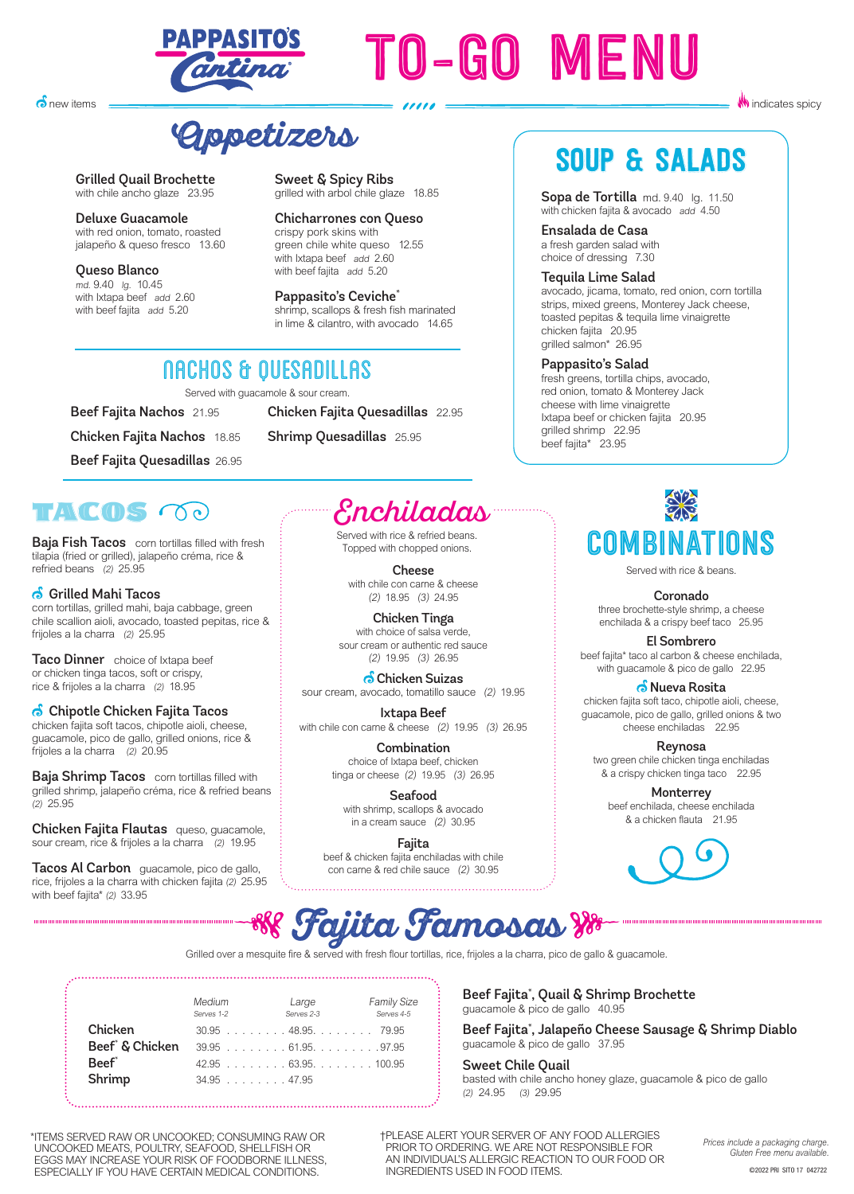

# TO-GO MENU

**Appetizers**

NACHOS & QUESADILLAS Served with guacamole & sour cream.

Grilled Quail Brochette with chile ancho glaze 23.95

**o**new items

Deluxe Guacamole **Denaxe Guacarriore**<br>with red onion, tomato, roasted jalapeño & queso fresco 13.60

 $O(1000)$ Queso Blanco  $\frac{m}{4}$ . 9.40 lg. 10.45 with beef failta  $a$ dd 5.20 with beef fajita add 5.20 with Ixtapa beef add 2.60

Sweet & Spicy Ribs grilled with arbol chile glaze 18.85

with beef failure. Chichar Fortes con Queso<br>crispy pork skins with crispy pork skins with green chile green chile white queso 12.55 green chile white queso<br>with Ixtapa beef add 2.60 with Ixtapa beef add 2.60<br>with beef failta add 5.20 with beef fajita add 5.20 with beef fajita add 5.20 Chicharrones con Queso

**Pappasito's Ceviche**<br>shrimp, scallops & fresh fish marinated shrimp, scallops & fresh fish manifated<br>n lime & cilantro, with avocado - 14.65 in lime & cilantro, with avocado 14.65 in lime & cilantro, with avocado 14.65Pappasito's Ceviche\*

Chicken Fajita Quesadillas 22.95

Shrimp Quesadillas 25.95

# SOUP & SALADS

**W** indicates spicy

Sopa de Tortilla md. 9.40 lg. 11.50 with chicken fajita & avocado add 4.50

Ensalada de Casa a fresh garden salad with choice of dressing 7.30

### Tequila Lime Salad

avocado, jicama, tomato, red onion, corn tortilla strips, mixed greens, Monterey Jack cheese, toasted pepitas & tequila lime vinaigrette chicken fajita 20.95 grilled salmon\* 26.95

### Pappasito's Salad

fresh greens, tortilla chips, avocado, red onion, tomato & Monterey Jack cheese with lime vinaigrette Ixtapa beef or chicken fajita 20.95 grilled shrimp 22.95 beef fajita\* 23.95

TAME(1)S COC

**Baja Fish Tacos** corn tortillas filled with fresh tilapia (fried or grilled), jalapeño créma, rice & refried beans (2) 25.95

Beef Fajita Nachos 21.95

Chicken Fajita Nachos 18.85

Beef Fajita Quesadillas 26.95

 Grilled Mahi Tacos corn tortillas, grilled mahi, baja cabbage, green

chile scallion aioli, avocado, toasted pepitas, rice & frijoles a la charra (2) 25.95

Taco Dinner choice of Ixtapa beef or chicken tinga tacos, soft or crispy, rice & frijoles a la charra (2) 18.95

 $\bullet$  Chipotle Chicken Fajita Tacos

chicken fajita soft tacos, chipotle aioli, cheese, guacamole, pico de gallo, grilled onions, rice & frijoles a la charra (2) 20.95

**Baja Shrimp Tacos** corn tortillas filled with grilled shrimp, jalapeño créma, rice & refried beans (2) 25.95

Chicken Fajita Flautas queso, guacamole, sour cream, rice & frijoles a la charra (2) 19.95

Tacos Al Carbon guacamole, pico de gallo, rice, frijoles a la charra with chicken fajita (2) 25.95 with beef fajita\* (2) 33.95

Enchiladas

Served with rice & refried beans. Topped with chopped onions.

Cheese with chile con carne & cheese (2) 18.95 (3) 24.95

Chicken Tinga with choice of salsa verde, sour cream or authentic red sauce (2) 19.95 (3) 26.95

**o** Chicken Suizas sour cream, avocado, tomatillo sauce (2) 19.95

Ixtapa Beef with chile con carne & cheese (2) 19.95 (3) 26.95

> **Combination** choice of Ixtapa beef, chicken tinga or cheese (2) 19.95 (3) 26.95

Seafood with shrimp, scallops & avocado in a cream sauce (2) 30.95

Fajita beef & chicken fajita enchiladas with chile con carne & red chile sauce (2) 30.95



Served with rice & beans.

**Coronado**<br>three brochette-style shrimp, a cheese

enchilada & a crispy beef taco 25.95 El Sombrero

beef fajita\* taco al carbon & cheese enchilada, with guacamole & pico de gallo 22.95

<mark>ி</mark> Nueva Rosita

chicken fajita soft taco, chipotle aioli, cheese, guacamole, pico de gallo, grilled onions & two cheese enchiladas 22.95

Reynosa two green chile chicken tinga enchiladas & a crispy chicken tinga taco 22.95

**Monterrey** beef enchilada, cheese enchilada & a chicken flauta 21.95





Grilled over a mesquite fire & served with fresh flour tortillas, rice, frijoles a la charra, pico de gallo & guacamole.

Medium Large Family Size Serves 1-2 Serves 2-3 Serves 4-5 **Chicken** 30.95 . . . . . . . 48.95 . . . . . . . 79.95 Beef<sup>\*</sup> & Chicken **Beef<sup>\*</sup> & Chicken** 39.95 . . . . . . . . 61.95. . . . . . . . . . 97.95<br>**Beef<sup>\*</sup> 42.95** . . . . . . . . . 63.95. . . . . . . . 100.95 **Beef<sup>\*</sup>** 42.95 . . . . . . . 63.95. . . . . . . 100.95<br>**Shrimp** 34.95 . . . . . . . 47.95  $34.95$  . . . . . . . 47.95 ESPECIAL Society of the content of the content of the certain of the content of the certain of the certain of the certain of the certain of the certain of the certain of the certain of the certain of the certain of the c

Beef Fajita\* , Quail & Shrimp Brochette guacamole & pico de gallo 40.95

Beef Fajita\* , Jalapeño Cheese Sausage & Shrimp Diablo guacamole & pico de gallo 37.95

Sweet Chile Quail basted with chile ancho honey glaze, guacamole & pico de gallo (2) 24.95 (3) 29.95

*\*Items may be cooked to order, are served raw or undercooked, or may contain raw or uncooked*  UNCOOKED MEATS, POULTRY, SEAFOOD, SHELLFISH OR *ingredients. Consuming raw or undercooked meats, poultry, seafood, shellfish, or eggs may*  EGGS MAY INCREASE YOUR RISK OF FOODBORNE ILLNESS, *ESPECIALLY IF YOU HAVE CERTAIN MEDICAL CONDITIONS.* \*ITEMS SERVED RAW OR UNCOOKED; CONSUMING RAW OR

*†Please alert your Server of any food allergies prior to ordering. We are not responsible for an individual's allergic reaction to our food or ingredients used in food items.*  †PLEASE ALERT YOUR SERVER OF ANY FOOD ALLERGIES PRIOR TO ORDERING. WE ARE NOT RESPONSIBLE FOR AN INDIVIDUAL'S ALLERGIC REACTION TO OUR FOOD OR INGREDIENTS USED IN FOOD ITEMS.